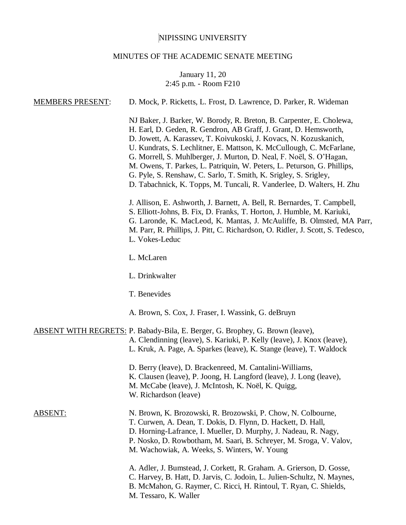# NIPISSING UNIVERSITY

# MINUTES OF THE ACADEMIC SENATE MEETING

# January 11, 20 2:45 p.m. - Room F210

| <b>MEMBERS PRESENT:</b> | D. Mock, P. Ricketts, L. Frost, D. Lawrence, D. Parker, R. Wideman                                                                                                                                                                                                                                                                                                                                                                                                                                                                                                                   |
|-------------------------|--------------------------------------------------------------------------------------------------------------------------------------------------------------------------------------------------------------------------------------------------------------------------------------------------------------------------------------------------------------------------------------------------------------------------------------------------------------------------------------------------------------------------------------------------------------------------------------|
|                         | NJ Baker, J. Barker, W. Borody, R. Breton, B. Carpenter, E. Cholewa,<br>H. Earl, D. Geden, R. Gendron, AB Graff, J. Grant, D. Hemsworth,<br>D. Jowett, A. Karassev, T. Koivukoski, J. Kovacs, N. Kozuskanich,<br>U. Kundrats, S. Lechlitner, E. Mattson, K. McCullough, C. McFarlane,<br>G. Morrell, S. Muhlberger, J. Murton, D. Neal, F. Noël, S. O'Hagan,<br>M. Owens, T. Parkes, L. Patriquin, W. Peters, L. Peturson, G. Phillips,<br>G. Pyle, S. Renshaw, C. Sarlo, T. Smith, K. Srigley, S. Srigley,<br>D. Tabachnick, K. Topps, M. Tuncali, R. Vanderlee, D. Walters, H. Zhu |
|                         | J. Allison, E. Ashworth, J. Barnett, A. Bell, R. Bernardes, T. Campbell,<br>S. Elliott-Johns, B. Fix, D. Franks, T. Horton, J. Humble, M. Kariuki,<br>G. Laronde, K. MacLeod, K. Mantas, J. McAuliffe, B. Olmsted, MA Parr,<br>M. Parr, R. Phillips, J. Pitt, C. Richardson, O. Ridler, J. Scott, S. Tedesco,<br>L. Vokes-Leduc                                                                                                                                                                                                                                                      |
|                         | L. McLaren                                                                                                                                                                                                                                                                                                                                                                                                                                                                                                                                                                           |
|                         | L. Drinkwalter                                                                                                                                                                                                                                                                                                                                                                                                                                                                                                                                                                       |
|                         | T. Benevides                                                                                                                                                                                                                                                                                                                                                                                                                                                                                                                                                                         |
|                         | A. Brown, S. Cox, J. Fraser, I. Wassink, G. deBruyn                                                                                                                                                                                                                                                                                                                                                                                                                                                                                                                                  |
|                         | <b>ABSENT WITH REGRETS: P. Babady-Bila, E. Berger, G. Brophey, G. Brown (leave),</b><br>A. Clendinning (leave), S. Kariuki, P. Kelly (leave), J. Knox (leave),<br>L. Kruk, A. Page, A. Sparkes (leave), K. Stange (leave), T. Waldock                                                                                                                                                                                                                                                                                                                                                |
|                         | D. Berry (leave), D. Brackenreed, M. Cantalini-Williams,<br>K. Clausen (leave), P. Joong, H. Langford (leave), J. Long (leave),<br>M. McCabe (leave), J. McIntosh, K. Noël, K. Quigg,<br>W. Richardson (leave)                                                                                                                                                                                                                                                                                                                                                                       |
| <b>ABSENT:</b>          | N. Brown, K. Brozowski, R. Brozowski, P. Chow, N. Colbourne,<br>T. Curwen, A. Dean, T. Dokis, D. Flynn, D. Hackett, D. Hall,<br>D. Horning-Lafrance, I. Mueller, D. Murphy, J. Nadeau, R. Nagy,<br>P. Nosko, D. Rowbotham, M. Saari, B. Schreyer, M. Sroga, V. Valov,<br>M. Wachowiak, A. Weeks, S. Winters, W. Young                                                                                                                                                                                                                                                                |
|                         | A. Adler, J. Bumstead, J. Corkett, R. Graham. A. Grierson, D. Gosse,<br>C. Harvey, B. Hatt, D. Jarvis, C. Jodoin, L. Julien-Schultz, N. Maynes,<br>B. McMahon, G. Raymer, C. Ricci, H. Rintoul, T. Ryan, C. Shields,<br>M. Tessaro, K. Waller                                                                                                                                                                                                                                                                                                                                        |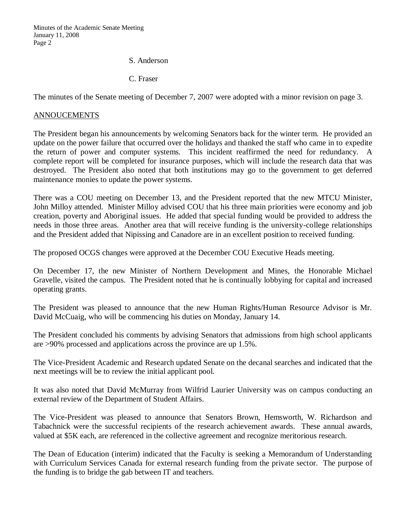Minutes of the Academic Senate Meeting January 11, 2008 Page 2

S. Anderson

C. Fraser

The minutes of the Senate meeting of December 7, 2007 were adopted with a minor revision on page 3.

# ANNOUCEMENTS

The President began his announcements by welcoming Senators back for the winter term. He provided an update on the power failure that occurred over the holidays and thanked the staff who came in to expedite the return of power and computer systems. This incident reaffirmed the need for redundancy. A complete report will be completed for insurance purposes, which will include the research data that was destroyed. The President also noted that both institutions may go to the government to get deferred maintenance monies to update the power systems.

There was a COU meeting on December 13, and the President reported that the new MTCU Minister, John Milloy attended. Minister Milloy advised COU that his three main priorities were economy and job creation, poverty and Aboriginal issues. He added that special funding would be provided to address the needs in those three areas. Another area that will receive funding is the university-college relationships and the President added that Nipissing and Canadore are in an excellent position to received funding.

The proposed OCGS changes were approved at the December COU Executive Heads meeting.

On December 17, the new Minister of Northern Development and Mines, the Honorable Michael Gravelle, visited the campus. The President noted that he is continually lobbying for capital and increased operating grants.

The President was pleased to announce that the new Human Rights/Human Resource Advisor is Mr. David McCuaig, who will be commencing his duties on Monday, January 14.

The President concluded his comments by advising Senators that admissions from high school applicants are >90% processed and applications across the province are up 1.5%.

The Vice-President Academic and Research updated Senate on the decanal searches and indicated that the next meetings will be to review the initial applicant pool.

It was also noted that David McMurray from Wilfrid Laurier University was on campus conducting an external review of the Department of Student Affairs.

The Vice-President was pleased to announce that Senators Brown, Hemsworth, W. Richardson and Tabachnick were the successful recipients of the research achievement awards. These annual awards, valued at \$5K each, are referenced in the collective agreement and recognize meritorious research.

The Dean of Education (interim) indicated that the Faculty is seeking a Memorandum of Understanding with Curriculum Services Canada for external research funding from the private sector. The purpose of the funding is to bridge the gab between IT and teachers.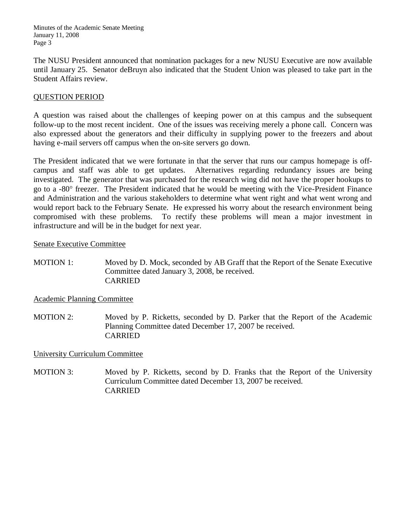Minutes of the Academic Senate Meeting January 11, 2008 Page 3

The NUSU President announced that nomination packages for a new NUSU Executive are now available until January 25. Senator deBruyn also indicated that the Student Union was pleased to take part in the Student Affairs review.

# QUESTION PERIOD

A question was raised about the challenges of keeping power on at this campus and the subsequent follow-up to the most recent incident. One of the issues was receiving merely a phone call. Concern was also expressed about the generators and their difficulty in supplying power to the freezers and about having e-mail servers off campus when the on-site servers go down.

The President indicated that we were fortunate in that the server that runs our campus homepage is offcampus and staff was able to get updates. Alternatives regarding redundancy issues are being investigated. The generator that was purchased for the research wing did not have the proper hookups to go to a -80° freezer. The President indicated that he would be meeting with the Vice-President Finance and Administration and the various stakeholders to determine what went right and what went wrong and would report back to the February Senate. He expressed his worry about the research environment being compromised with these problems. To rectify these problems will mean a major investment in infrastructure and will be in the budget for next year.

#### Senate Executive Committee

MOTION 1: Moved by D. Mock, seconded by AB Graff that the Report of the Senate Executive Committee dated January 3, 2008, be received. CARRIED

# Academic Planning Committee

MOTION 2: Moved by P. Ricketts, seconded by D. Parker that the Report of the Academic Planning Committee dated December 17, 2007 be received. CARRIED

# University Curriculum Committee

MOTION 3: Moved by P. Ricketts, second by D. Franks that the Report of the University Curriculum Committee dated December 13, 2007 be received. CARRIED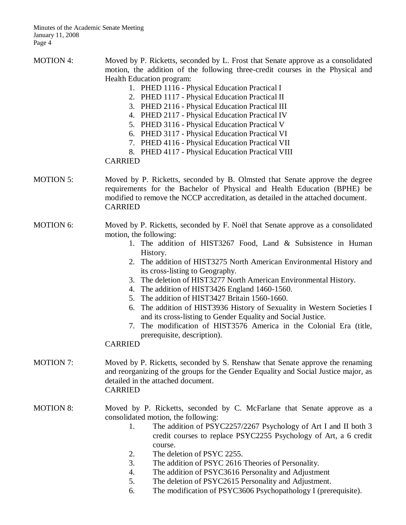MOTION 4: Moved by P. Ricketts, seconded by L. Frost that Senate approve as a consolidated motion, the addition of the following three-credit courses in the Physical and Health Education program: 1. PHED 1116 - Physical Education Practical I 2. PHED 1117 - Physical Education Practical II 3. PHED 2116 - Physical Education Practical III 4. PHED 2117 - Physical Education Practical IV 5. PHED 3116 - Physical Education Practical V 6. PHED 3117 - Physical Education Practical VI 7. PHED 4116 - Physical Education Practical VII 8. PHED 4117 - Physical Education Practical VIII CARRIED MOTION 5: Moved by P. Ricketts, seconded by B. Olmsted that Senate approve the degree requirements for the Bachelor of Physical and Health Education (BPHE) be modified to remove the NCCP accreditation, as detailed in the attached document. CARRIED MOTION 6: Moved by P. Ricketts, seconded by F. Noël that Senate approve as a consolidated motion, the following: 1. The addition of HIST3267 Food, Land & Subsistence in Human History. 2. The addition of HIST3275 North American Environmental History and its cross-listing to Geography. 3. The deletion of HIST3277 North American Environmental History. 4. The addition of HIST3426 England 1460-1560. 5. The addition of HIST3427 Britain 1560-1660. 6. The addition of HIST3936 History of Sexuality in Western Societies I and its cross-listing to Gender Equality and Social Justice. 7. The modification of HIST3576 America in the Colonial Era (title, prerequisite, description). CARRIED MOTION 7: Moved by P. Ricketts, seconded by S. Renshaw that Senate approve the renaming and reorganizing of the groups for the Gender Equality and Social Justice major, as detailed in the attached document. CARRIED MOTION 8: Moved by P. Ricketts, seconded by C. McFarlane that Senate approve as a consolidated motion, the following: 1. The addition of PSYC2257/2267 Psychology of Art I and II both 3

- credit courses to replace PSYC2255 Psychology of Art, a 6 credit course.
- 2. The deletion of PSYC 2255.
- 3. The addition of PSYC 2616 Theories of Personality.
- 4. The addition of PSYC3616 Personality and Adjustment
- 5. The deletion of PSYC2615 Personality and Adjustment.
- 6. The modification of PSYC3606 Psychopathology I (prerequisite).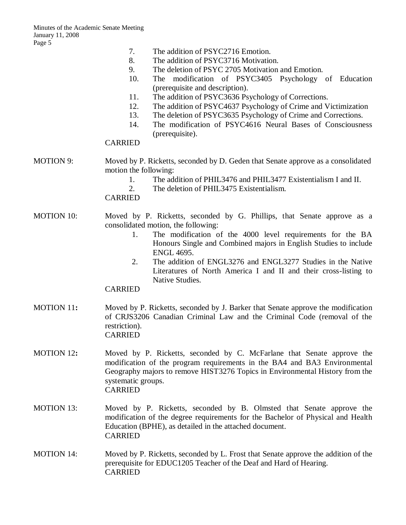|                   | 7.<br>The addition of PSYC2716 Emotion.<br>8.<br>The addition of PSYC3716 Motivation.<br>9.<br>The deletion of PSYC 2705 Motivation and Emotion.<br>10.<br>The modification of PSYC3405 Psychology of Education<br>(prerequisite and description).<br>11.<br>The addition of PSYC3636 Psychology of Corrections.<br>The addition of PSYC4637 Psychology of Crime and Victimization<br>12.<br>13.<br>The deletion of PSYC3635 Psychology of Crime and Corrections.<br>The modification of PSYC4616 Neural Bases of Consciousness<br>14.<br>(prerequisite).<br><b>CARRIED</b> |
|-------------------|-----------------------------------------------------------------------------------------------------------------------------------------------------------------------------------------------------------------------------------------------------------------------------------------------------------------------------------------------------------------------------------------------------------------------------------------------------------------------------------------------------------------------------------------------------------------------------|
| <b>MOTION 9:</b>  | Moved by P. Ricketts, seconded by D. Geden that Senate approve as a consolidated<br>motion the following:<br>The addition of PHIL3476 and PHIL3477 Existentialism I and II.<br>1.<br>2.<br>The deletion of PHIL3475 Existentialism.<br><b>CARRIED</b>                                                                                                                                                                                                                                                                                                                       |
| <b>MOTION 10:</b> | Moved by P. Ricketts, seconded by G. Phillips, that Senate approve as a<br>consolidated motion, the following:<br>The modification of the 4000 level requirements for the BA<br>1.<br>Honours Single and Combined majors in English Studies to include<br><b>ENGL 4695.</b><br>The addition of ENGL3276 and ENGL3277 Studies in the Native<br>2.<br>Literatures of North America I and II and their cross-listing to<br>Native Studies.<br><b>CARRIED</b>                                                                                                                   |
| MOTION 11:        | Moved by P. Ricketts, seconded by J. Barker that Senate approve the modification<br>of CRJS3206 Canadian Criminal Law and the Criminal Code (removal of the<br>restriction).<br><b>CARRIED</b>                                                                                                                                                                                                                                                                                                                                                                              |
| <b>MOTION 12:</b> | Moved by P. Ricketts, seconded by C. McFarlane that Senate approve the<br>modification of the program requirements in the BA4 and BA3 Environmental<br>Geography majors to remove HIST3276 Topics in Environmental History from the<br>systematic groups.<br><b>CARRIED</b>                                                                                                                                                                                                                                                                                                 |
| <b>MOTION 13:</b> | Moved by P. Ricketts, seconded by B. Olmsted that Senate approve the<br>modification of the degree requirements for the Bachelor of Physical and Health<br>Education (BPHE), as detailed in the attached document.<br><b>CARRIED</b>                                                                                                                                                                                                                                                                                                                                        |
| <b>MOTION 14:</b> | Moved by P. Ricketts, seconded by L. Frost that Senate approve the addition of the<br>prerequisite for EDUC1205 Teacher of the Deaf and Hard of Hearing.<br><b>CARRIED</b>                                                                                                                                                                                                                                                                                                                                                                                                  |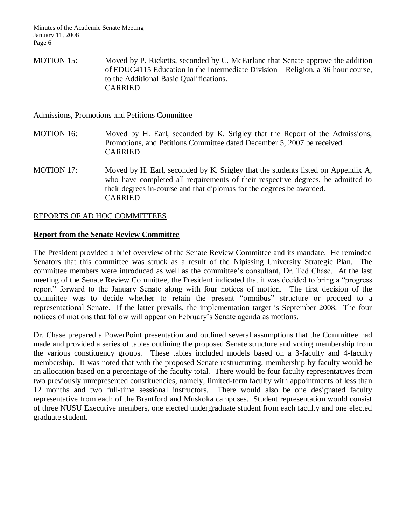MOTION 15: Moved by P. Ricketts, seconded by C. McFarlane that Senate approve the addition of EDUC4115 Education in the Intermediate Division – Religion, a 36 hour course, to the Additional Basic Qualifications. CARRIED

Admissions, Promotions and Petitions Committee

- MOTION 16: Moved by H. Earl, seconded by K. Srigley that the Report of the Admissions, Promotions, and Petitions Committee dated December 5, 2007 be received. CARRIED
- MOTION 17: Moved by H. Earl, seconded by K. Srigley that the students listed on Appendix A, who have completed all requirements of their respective degrees, be admitted to their degrees in-course and that diplomas for the degrees be awarded. CARRIED

# REPORTS OF AD HOC COMMITTEES

# **Report from the Senate Review Committee**

The President provided a brief overview of the Senate Review Committee and its mandate. He reminded Senators that this committee was struck as a result of the Nipissing University Strategic Plan. The committee members were introduced as well as the committee's consultant, Dr. Ted Chase. At the last meeting of the Senate Review Committee, the President indicated that it was decided to bring a "progress report" forward to the January Senate along with four notices of motion. The first decision of the committee was to decide whether to retain the present "omnibus" structure or proceed to a representational Senate. If the latter prevails, the implementation target is September 2008. The four notices of motions that follow will appear on February's Senate agenda as motions.

Dr. Chase prepared a PowerPoint presentation and outlined several assumptions that the Committee had made and provided a series of tables outlining the proposed Senate structure and voting membership from the various constituency groups. These tables included models based on a 3-faculty and 4-faculty membership. It was noted that with the proposed Senate restructuring, membership by faculty would be an allocation based on a percentage of the faculty total. There would be four faculty representatives from two previously unrepresented constituencies, namely, limited-term faculty with appointments of less than 12 months and two full-time sessional instructors. There would also be one designated faculty representative from each of the Brantford and Muskoka campuses. Student representation would consist of three NUSU Executive members, one elected undergraduate student from each faculty and one elected graduate student.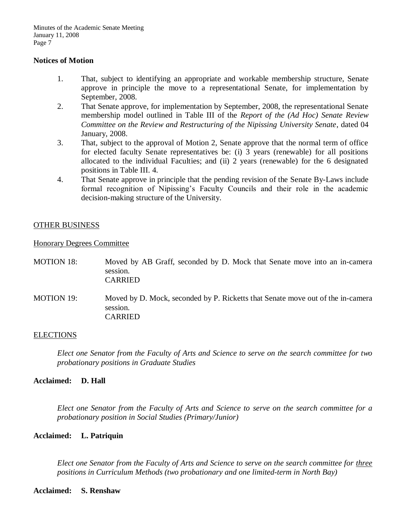#### **Notices of Motion**

- 1. That, subject to identifying an appropriate and workable membership structure, Senate approve in principle the move to a representational Senate, for implementation by September, 2008.
- 2. That Senate approve, for implementation by September, 2008, the representational Senate membership model outlined in Table III of the *Report of the (Ad Hoc) Senate Review Committee on the Review and Restructuring of the Nipissing University Senate*, dated 04 January, 2008.
- 3. That, subject to the approval of Motion 2, Senate approve that the normal term of office for elected faculty Senate representatives be: (i) 3 years (renewable) for all positions allocated to the individual Faculties; and (ii) 2 years (renewable) for the 6 designated positions in Table III. 4.
- 4. That Senate approve in principle that the pending revision of the Senate By-Laws include formal recognition of Nipissing's Faculty Councils and their role in the academic decision-making structure of the University.

# OTHER BUSINESS

Honorary Degrees Committee

- MOTION 18: Moved by AB Graff, seconded by D. Mock that Senate move into an in-camera session. CARRIED
- MOTION 19: Moved by D. Mock, seconded by P. Ricketts that Senate move out of the in-camera session. CARRIED

# **ELECTIONS**

*Elect one Senator from the Faculty of Arts and Science to serve on the search committee for two probationary positions in Graduate Studies* 

# **Acclaimed: D. Hall**

*Elect one Senator from the Faculty of Arts and Science to serve on the search committee for a probationary position in Social Studies (Primary/Junior)*

# **Acclaimed: L. Patriquin**

*Elect one Senator from the Faculty of Arts and Science to serve on the search committee for three positions in Curriculum Methods (two probationary and one limited-term in North Bay)*

#### **Acclaimed: S. Renshaw**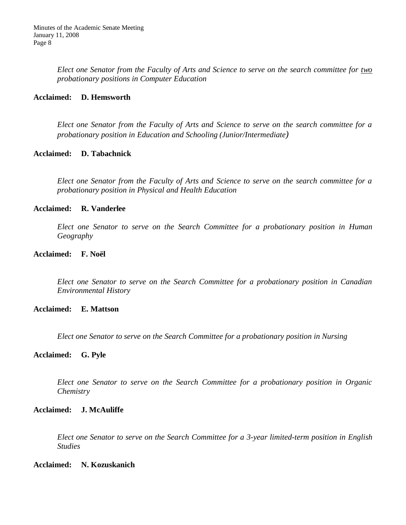*Elect one Senator from the Faculty of Arts and Science to serve on the search committee for two probationary positions in Computer Education*

#### **Acclaimed: D. Hemsworth**

*Elect one Senator from the Faculty of Arts and Science to serve on the search committee for a probationary position in Education and Schooling (Junior/Intermediate)*

#### **Acclaimed: D. Tabachnick**

*Elect one Senator from the Faculty of Arts and Science to serve on the search committee for a probationary position in Physical and Health Education*

#### **Acclaimed: R. Vanderlee**

*Elect one Senator to serve on the Search Committee for a probationary position in Human Geography*

#### **Acclaimed: F. Noël**

*Elect one Senator to serve on the Search Committee for a probationary position in Canadian Environmental History*

#### **Acclaimed: E. Mattson**

*Elect one Senator to serve on the Search Committee for a probationary position in Nursing*

#### **Acclaimed: G. Pyle**

*Elect one Senator to serve on the Search Committee for a probationary position in Organic Chemistry*

# **Acclaimed: J. McAuliffe**

*Elect one Senator to serve on the Search Committee for a 3-year limited-term position in English Studies*

#### **Acclaimed: N. Kozuskanich**